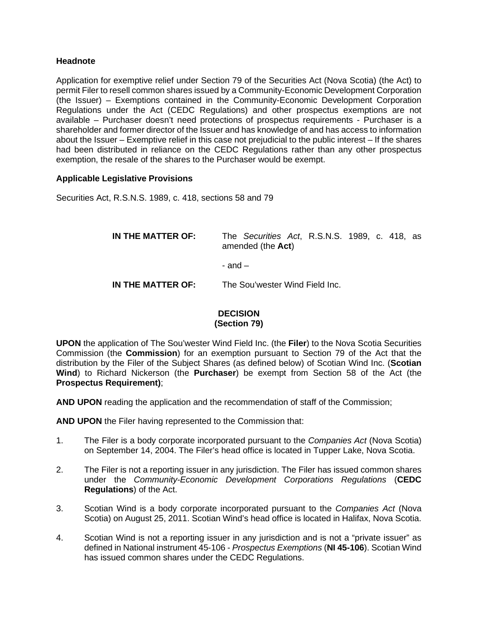## **Headnote**

Application for exemptive relief under Section 79 of the Securities Act (Nova Scotia) (the Act) to permit Filer to resell common shares issued by a Community-Economic Development Corporation (the Issuer) – Exemptions contained in the Community-Economic Development Corporation Regulations under the Act (CEDC Regulations) and other prospectus exemptions are not available – Purchaser doesn't need protections of prospectus requirements - Purchaser is a shareholder and former director of the Issuer and has knowledge of and has access to information about the Issuer – Exemptive relief in this case not prejudicial to the public interest – If the shares had been distributed in reliance on the CEDC Regulations rather than any other prospectus exemption, the resale of the shares to the Purchaser would be exempt.

## **Applicable Legislative Provisions**

Securities Act, R.S.N.S. 1989, c. 418, sections 58 and 79

| IN THE MATTER OF: | The Securities Act, R.S.N.S. 1989, c. 418, as<br>amended (the Act) |
|-------------------|--------------------------------------------------------------------|
|                   | - and $-$                                                          |
| IN THE MATTER OF: | The Sou'wester Wind Field Inc.                                     |

## **DECISION (Section 79)**

**UPON** the application of The Sou'wester Wind Field Inc. (the **Filer**) to the Nova Scotia Securities Commission (the **Commission**) for an exemption pursuant to Section 79 of the Act that the distribution by the Filer of the Subject Shares (as defined below) of Scotian Wind Inc. (**Scotian Wind**) to Richard Nickerson (the **Purchaser**) be exempt from Section 58 of the Act (the **Prospectus Requirement)**;

**AND UPON** reading the application and the recommendation of staff of the Commission;

**AND UPON** the Filer having represented to the Commission that:

- 1. The Filer is a body corporate incorporated pursuant to the *Companies Act* (Nova Scotia) on September 14, 2004. The Filer's head office is located in Tupper Lake, Nova Scotia.
- 2. The Filer is not a reporting issuer in any jurisdiction. The Filer has issued common shares under the *Community-Economic Development Corporations Regulations* (**CEDC Regulations**) of the Act.
- 3. Scotian Wind is a body corporate incorporated pursuant to the *Companies Act* (Nova Scotia) on August 25, 2011. Scotian Wind's head office is located in Halifax, Nova Scotia.
- 4. Scotian Wind is not a reporting issuer in any jurisdiction and is not a "private issuer" as defined in National instrument 45-106 - *Prospectus Exemptions* (**NI 45-106**). Scotian Wind has issued common shares under the CEDC Regulations.